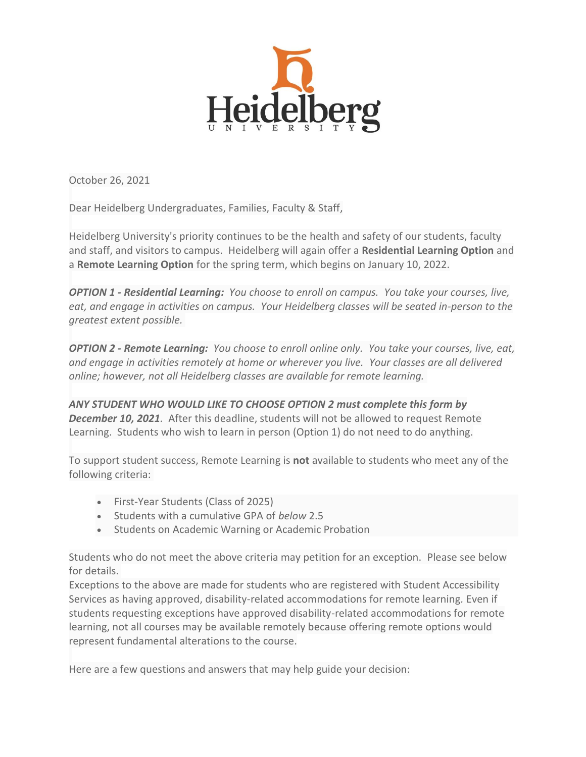

October 26, 2021

Dear Heidelberg Undergraduates, Families, Faculty & Staff,

Heidelberg University's priority continues to be the health and safety of our students, faculty and staff, and visitors to campus. Heidelberg will again offer a **Residential Learning Option** and a **Remote Learning Option** for the spring term, which begins on January 10, 2022.

*OPTION 1 - Residential Learning: You choose to enroll on campus. You take your courses, live, eat, and engage in activities on campus. Your Heidelberg classes will be seated in-person to the greatest extent possible.*

*OPTION 2 - Remote Learning: You choose to enroll online only. You take your courses, live, eat, and engage in activities remotely at home or wherever you live. Your classes are all delivered online; however, not all Heidelberg classes are available for remote learning.*

*ANY STUDENT WHO WOULD LIKE TO CHOOSE OPTION 2 must complete this [form](https://heidelberg.us1.list-manage.com/track/click?u=aedcf85e9275dba4a51d423f2&id=42959d35d3&e=5208781db9) by December 10, 2021.* After this deadline, students will not be allowed to request Remote Learning. Students who wish to learn in person (Option 1) do not need to do anything.

To support student success, Remote Learning is **not** available to students who meet any of the following criteria:

- First-Year Students (Class of 2025)
- Students with a cumulative GPA of *below* 2.5
- Students on Academic Warning or Academic Probation

Students who do not meet the above criteria may petition for an exception. Please see below for details.

Exceptions to the above are made for students who are registered with Student Accessibility Services as having approved, disability-related accommodations for remote learning*.* Even if students requesting exceptions have approved disability-related accommodations for remote learning, not all courses may be available remotely because offering remote options would represent fundamental alterations to the course.

Here are a few questions and answers that may help guide your decision: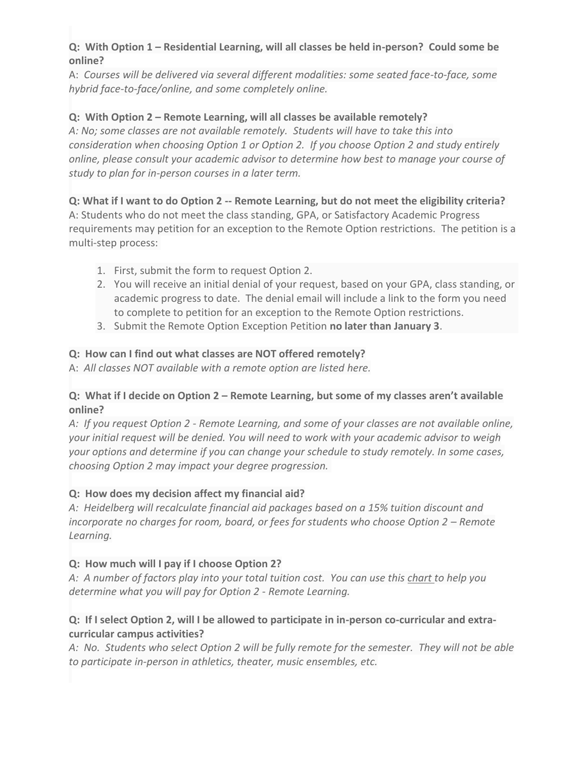### **Q: With Option 1 – Residential Learning, will all classes be held in-person? Could some be online?**

A: *Courses will be delivered via several different modalities: some seated face-to-face, some hybrid face-to-face/online, and some completely online.*

## **Q: With Option 2 – Remote Learning, will all classes be available remotely?**

*A: No; some classes are not available remotely. Students will have to take this into consideration when choosing Option 1 or Option 2. If you choose Option 2 and study entirely online, please consult your academic advisor to determine how best to manage your course of study to plan for in-person courses in a later term.*

# **Q: What if I want to do Option 2 -- Remote Learning, but do not meet the eligibility criteria?**

A: Students who do not meet the class standing, GPA, or Satisfactory Academic Progress requirements may petition for an exception to the Remote Option restrictions. The petition is a multi-step process:

- 1. First, submit the form to request Option 2.
- 2. You will receive an initial denial of your request, based on your GPA, class standing, or academic progress to date. The denial email will include a link to the form you need to complete to petition for an exception to the Remote Option restrictions.
- 3. Submit the Remote Option Exception Petition **no later than January 3**.

### **Q: How can I find out what classes are NOT offered remotely?**

A: *All classes NOT available with a remote option are listed [here.](https://heidelberg.us1.list-manage.com/track/click?u=aedcf85e9275dba4a51d423f2&id=e243970ec5&e=5208781db9)*

### **Q: What if I decide on Option 2 – Remote Learning, but some of my classes aren't available online?**

*A: If you request Option 2 - Remote Learning, and some of your classes are not available online, your initial request will be denied. You will need to work with your academic advisor to weigh your options and determine if you can change your schedule to study remotely. In some cases, choosing Option 2 may impact your degree progression.*

### **Q: How does my decision affect my financial aid?**

*A: Heidelberg will recalculate financial aid packages based on a 15% tuition discount and incorporate no charges for room, board, or fees for students who choose Option 2 – Remote Learning.*

### **Q: How much will I pay if I choose Option 2?**

*A: A number of factors play into your total tuition cost. You can use this [chart](https://heidelberg.us1.list-manage.com/track/click?u=aedcf85e9275dba4a51d423f2&id=268900a34c&e=5208781db9) to help you determine what you will pay for Option 2 - Remote Learning.*

#### **Q: If I select Option 2, will I be allowed to participate in in-person co-curricular and extracurricular campus activities?**

*A: No. Students who select Option 2 will be fully remote for the semester. They will not be able to participate in-person in athletics, theater, music ensembles, etc.*